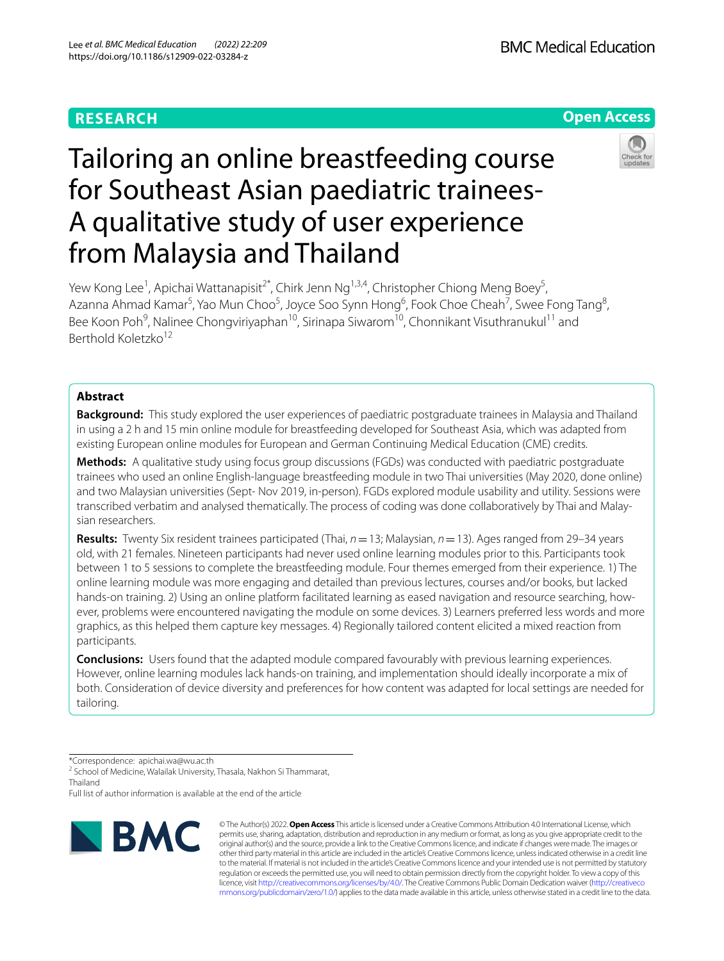# **RESEARCH**

**Open Access**

# Tailoring an online breastfeeding course for Southeast Asian paediatric trainees-A qualitative study of user experience from Malaysia and Thailand



Yew Kong Lee<sup>1</sup>, Apichai Wattanapisit<sup>2\*</sup>, Chirk Jenn Ng<sup>1,3,4</sup>, Christopher Chiong Meng Boey<sup>5</sup>, Azanna Ahmad Kamar<sup>5</sup>, Yao Mun Choo<sup>5</sup>, Joyce Soo Synn Hong<sup>6</sup>, Fook Choe Cheah<sup>7</sup>, Swee Fong Tang<sup>8</sup>, Bee Koon Poh<sup>9</sup>, Nalinee Chongviriyaphan<sup>10</sup>, Sirinapa Siwarom<sup>10</sup>, Chonnikant Visuthranukul<sup>11</sup> and Berthold Koletzko<sup>12</sup>

# **Abstract**

**Background:** This study explored the user experiences of paediatric postgraduate trainees in Malaysia and Thailand in using a 2 h and 15 min online module for breastfeeding developed for Southeast Asia, which was adapted from existing European online modules for European and German Continuing Medical Education (CME) credits.

**Methods:** A qualitative study using focus group discussions (FGDs) was conducted with paediatric postgraduate trainees who used an online English-language breastfeeding module in two Thai universities (May 2020, done online) and two Malaysian universities (Sept- Nov 2019, in-person). FGDs explored module usability and utility. Sessions were transcribed verbatim and analysed thematically. The process of coding was done collaboratively by Thai and Malaysian researchers.

**Results:** Twenty Six resident trainees participated (Thai, *n*=13; Malaysian, *n*=13). Ages ranged from 29–34 years old, with 21 females. Nineteen participants had never used online learning modules prior to this. Participants took between 1 to 5 sessions to complete the breastfeeding module. Four themes emerged from their experience. 1) The online learning module was more engaging and detailed than previous lectures, courses and/or books, but lacked hands-on training. 2) Using an online platform facilitated learning as eased navigation and resource searching, however, problems were encountered navigating the module on some devices. 3) Learners preferred less words and more graphics, as this helped them capture key messages. 4) Regionally tailored content elicited a mixed reaction from participants.

**Conclusions:** Users found that the adapted module compared favourably with previous learning experiences. However, online learning modules lack hands-on training, and implementation should ideally incorporate a mix of both. Consideration of device diversity and preferences for how content was adapted for local settings are needed for tailoring.

\*Correspondence: apichai.wa@wu.ac.th

<sup>2</sup> School of Medicine, Walailak University, Thasala, Nakhon Si Thammarat, Thailand

Full list of author information is available at the end of the article



© The Author(s) 2022. **Open Access** This article is licensed under a Creative Commons Attribution 4.0 International License, which permits use, sharing, adaptation, distribution and reproduction in any medium or format, as long as you give appropriate credit to the original author(s) and the source, provide a link to the Creative Commons licence, and indicate if changes were made. The images or other third party material in this article are included in the article's Creative Commons licence, unless indicated otherwise in a credit line to the material. If material is not included in the article's Creative Commons licence and your intended use is not permitted by statutory regulation or exceeds the permitted use, you will need to obtain permission directly from the copyright holder. To view a copy of this licence, visit [http://creativecommons.org/licenses/by/4.0/.](http://creativecommons.org/licenses/by/4.0/) The Creative Commons Public Domain Dedication waiver ([http://creativeco](http://creativecommons.org/publicdomain/zero/1.0/) [mmons.org/publicdomain/zero/1.0/](http://creativecommons.org/publicdomain/zero/1.0/)) applies to the data made available in this article, unless otherwise stated in a credit line to the data.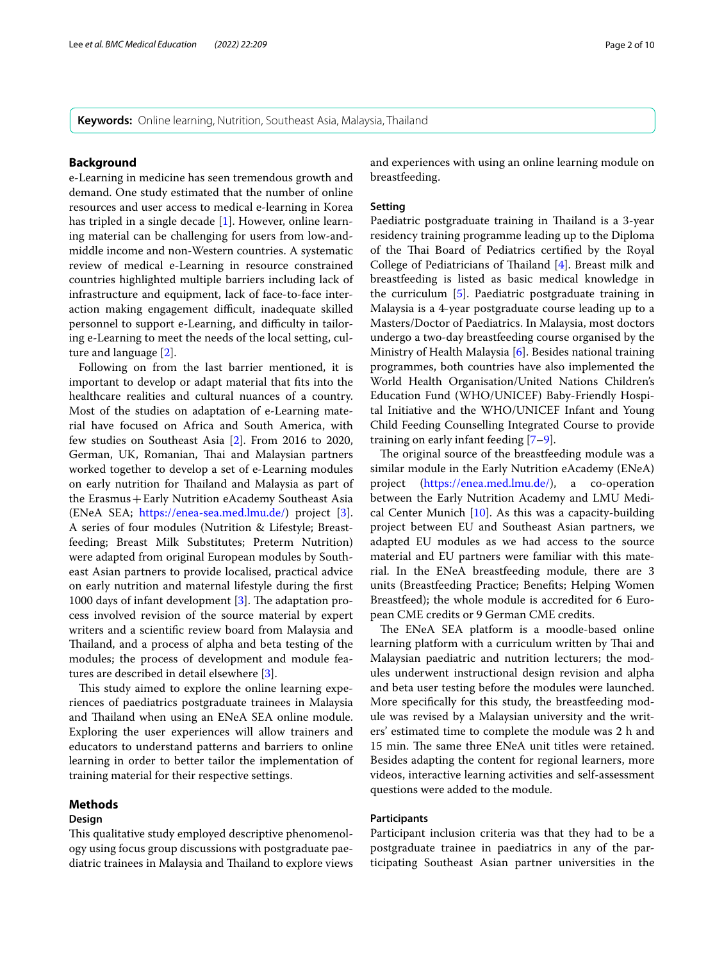**Keywords:** Online learning, Nutrition, Southeast Asia, Malaysia, Thailand

# **Background**

e-Learning in medicine has seen tremendous growth and demand. One study estimated that the number of online resources and user access to medical e-learning in Korea has tripled in a single decade [\[1\]](#page-8-0). However, online learning material can be challenging for users from low-andmiddle income and non-Western countries. A systematic review of medical e-Learning in resource constrained countries highlighted multiple barriers including lack of infrastructure and equipment, lack of face-to-face interaction making engagement difficult, inadequate skilled personnel to support e-Learning, and difficulty in tailoring e-Learning to meet the needs of the local setting, culture and language [[2\]](#page-8-1).

Following on from the last barrier mentioned, it is important to develop or adapt material that fts into the healthcare realities and cultural nuances of a country. Most of the studies on adaptation of e-Learning material have focused on Africa and South America, with few studies on Southeast Asia [\[2\]](#page-8-1). From 2016 to 2020, German, UK, Romanian, Thai and Malaysian partners worked together to develop a set of e-Learning modules on early nutrition for Thailand and Malaysia as part of the Erasmus+Early Nutrition eAcademy Southeast Asia (ENeA SEA; [https://enea-sea.med.lmu.de/\)](https://enea-sea.med.lmu.de/) project [\[3](#page-8-2)]. A series of four modules (Nutrition & Lifestyle; Breastfeeding; Breast Milk Substitutes; Preterm Nutrition) were adapted from original European modules by Southeast Asian partners to provide localised, practical advice on early nutrition and maternal lifestyle during the frst 1000 days of infant development  $[3]$  $[3]$ . The adaptation process involved revision of the source material by expert writers and a scientifc review board from Malaysia and Thailand, and a process of alpha and beta testing of the modules; the process of development and module features are described in detail elsewhere [[3\]](#page-8-2).

This study aimed to explore the online learning experiences of paediatrics postgraduate trainees in Malaysia and Thailand when using an ENeA SEA online module. Exploring the user experiences will allow trainers and educators to understand patterns and barriers to online learning in order to better tailor the implementation of training material for their respective settings.

# **Methods**

# **Design**

This qualitative study employed descriptive phenomenology using focus group discussions with postgraduate paediatric trainees in Malaysia and Thailand to explore views and experiences with using an online learning module on breastfeeding.

# **Setting**

Paediatric postgraduate training in Thailand is a 3-year residency training programme leading up to the Diploma of the Thai Board of Pediatrics certified by the Royal College of Pediatricians of Thailand  $[4]$  $[4]$ . Breast milk and breastfeeding is listed as basic medical knowledge in the curriculum [[5\]](#page-8-4). Paediatric postgraduate training in Malaysia is a 4-year postgraduate course leading up to a Masters/Doctor of Paediatrics. In Malaysia, most doctors undergo a two-day breastfeeding course organised by the Ministry of Health Malaysia [[6\]](#page-8-5). Besides national training programmes, both countries have also implemented the World Health Organisation/United Nations Children's Education Fund (WHO/UNICEF) Baby-Friendly Hospital Initiative and the WHO/UNICEF Infant and Young Child Feeding Counselling Integrated Course to provide training on early infant feeding [\[7](#page-8-6)[–9](#page-8-7)].

The original source of the breastfeeding module was a similar module in the Early Nutrition eAcademy (ENeA) project (<https://enea.med.lmu.de/>), a co-operation between the Early Nutrition Academy and LMU Medical Center Munich  $[10]$  $[10]$ . As this was a capacity-building project between EU and Southeast Asian partners, we adapted EU modules as we had access to the source material and EU partners were familiar with this material. In the ENeA breastfeeding module, there are 3 units (Breastfeeding Practice; Benefts; Helping Women Breastfeed); the whole module is accredited for 6 European CME credits or 9 German CME credits.

The ENeA SEA platform is a moodle-based online learning platform with a curriculum written by Thai and Malaysian paediatric and nutrition lecturers; the modules underwent instructional design revision and alpha and beta user testing before the modules were launched. More specifcally for this study, the breastfeeding module was revised by a Malaysian university and the writers' estimated time to complete the module was 2 h and 15 min. The same three ENeA unit titles were retained. Besides adapting the content for regional learners, more videos, interactive learning activities and self-assessment questions were added to the module.

# **Participants**

Participant inclusion criteria was that they had to be a postgraduate trainee in paediatrics in any of the participating Southeast Asian partner universities in the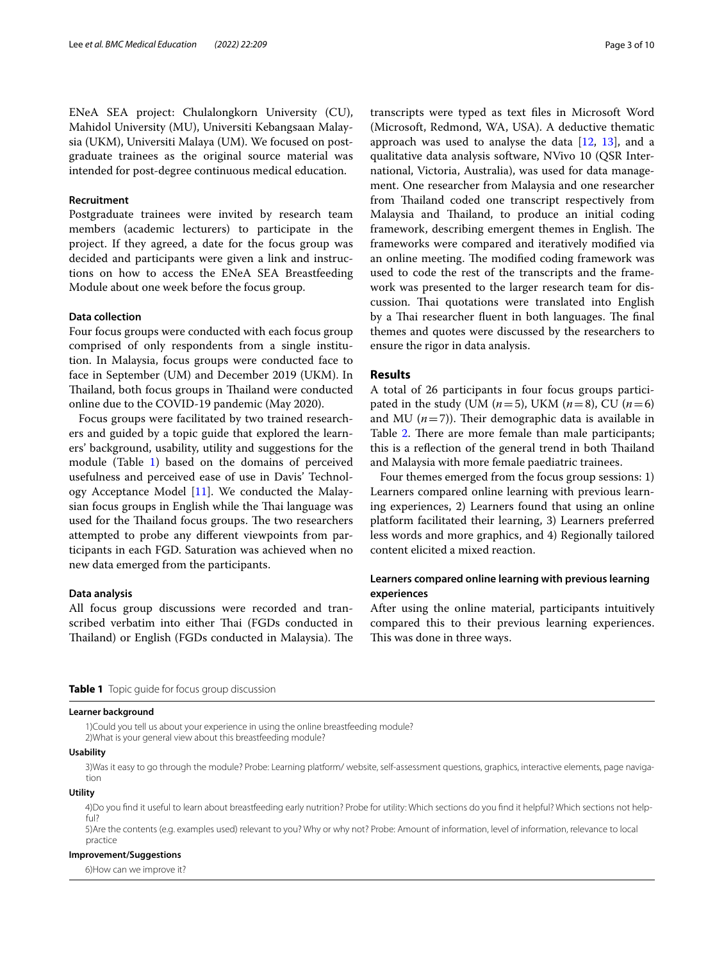ENeA SEA project: Chulalongkorn University (CU), Mahidol University (MU), Universiti Kebangsaan Malaysia (UKM), Universiti Malaya (UM). We focused on postgraduate trainees as the original source material was intended for post-degree continuous medical education.

### **Recruitment**

Postgraduate trainees were invited by research team members (academic lecturers) to participate in the project. If they agreed, a date for the focus group was decided and participants were given a link and instructions on how to access the ENeA SEA Breastfeeding Module about one week before the focus group.

# **Data collection**

Four focus groups were conducted with each focus group comprised of only respondents from a single institution. In Malaysia, focus groups were conducted face to face in September (UM) and December 2019 (UKM). In Thailand, both focus groups in Thailand were conducted online due to the COVID-19 pandemic (May 2020).

Focus groups were facilitated by two trained researchers and guided by a topic guide that explored the learners' background, usability, utility and suggestions for the module (Table [1](#page-2-0)) based on the domains of perceived usefulness and perceived ease of use in Davis' Technology Acceptance Model [[11](#page-8-9)]. We conducted the Malaysian focus groups in English while the Thai language was used for the Thailand focus groups. The two researchers attempted to probe any diferent viewpoints from participants in each FGD. Saturation was achieved when no new data emerged from the participants.

### **Data analysis**

All focus group discussions were recorded and transcribed verbatim into either Thai (FGDs conducted in Thailand) or English (FGDs conducted in Malaysia). The transcripts were typed as text fles in Microsoft Word (Microsoft, Redmond, WA, USA). A deductive thematic approach was used to analyse the data  $[12, 13]$  $[12, 13]$  $[12, 13]$  $[12, 13]$  $[12, 13]$ , and a qualitative data analysis software, NVivo 10 (QSR International, Victoria, Australia), was used for data management. One researcher from Malaysia and one researcher from Thailand coded one transcript respectively from Malaysia and Thailand, to produce an initial coding framework, describing emergent themes in English. The frameworks were compared and iteratively modifed via an online meeting. The modified coding framework was used to code the rest of the transcripts and the framework was presented to the larger research team for discussion. Thai quotations were translated into English by a Thai researcher fluent in both languages. The final themes and quotes were discussed by the researchers to ensure the rigor in data analysis.

# **Results**

A total of 26 participants in four focus groups participated in the study (UM  $(n=5)$ , UKM  $(n=8)$ , CU  $(n=6)$ and MU  $(n=7)$ ). Their demographic data is available in Table [2.](#page-3-0) There are more female than male participants; this is a reflection of the general trend in both Thailand and Malaysia with more female paediatric trainees.

Four themes emerged from the focus group sessions: 1) Learners compared online learning with previous learning experiences, 2) Learners found that using an online platform facilitated their learning, 3) Learners preferred less words and more graphics, and 4) Regionally tailored content elicited a mixed reaction.

# **Learners compared online learning with previous learning experiences**

After using the online material, participants intuitively compared this to their previous learning experiences. This was done in three ways.

<span id="page-2-0"></span>**Table 1** Topic guide for focus group discussion

#### **Learner background**

 1)Could you tell us about your experience in using the online breastfeeding module? 2)What is your general view about this breastfeeding module?

#### **Usability**

 3)Was it easy to go through the module? Probe: Learning platform/ website, self-assessment questions, graphics, interactive elements, page navigation

# **Utility**

 4)Do you fnd it useful to learn about breastfeeding early nutrition? Probe for utility: Which sections do you fnd it helpful? Which sections not helpful?

 5)Are the contents (e.g. examples used) relevant to you? Why or why not? Probe: Amount of information, level of information, relevance to local practice

#### **Improvement/Suggestions**

6)How can we improve it?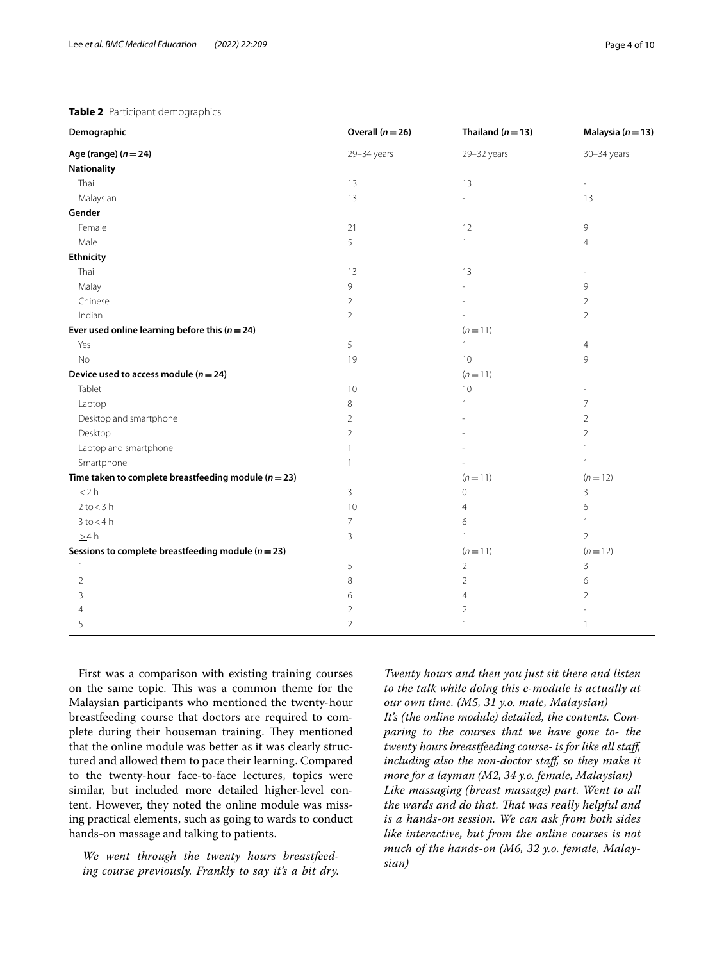# <span id="page-3-0"></span>**Table 2** Participant demographics

| Demographic                                              | Overall $(n=26)$ | Thailand $(n=13)$ | Malaysia ( $n = 13$ ) |
|----------------------------------------------------------|------------------|-------------------|-----------------------|
| Age (range) $(n=24)$                                     | 29-34 years      | 29-32 years       | 30-34 years           |
| Nationality                                              |                  |                   |                       |
| Thai                                                     | 13               | 13                |                       |
| Malaysian                                                | 13               |                   | 13                    |
| Gender                                                   |                  |                   |                       |
| Female                                                   | 21               | 12                | 9                     |
| Male                                                     | 5                | $\mathbf{1}$      | $\overline{4}$        |
| <b>Ethnicity</b>                                         |                  |                   |                       |
| Thai                                                     | 13               | 13                |                       |
| Malay                                                    | 9                |                   | 9                     |
| Chinese                                                  | $\overline{2}$   |                   | $\overline{2}$        |
| Indian                                                   | $\overline{2}$   |                   | $\overline{2}$        |
| Ever used online learning before this $(n=24)$           |                  | $(n=11)$          |                       |
| Yes                                                      | 5                | $\mathbf{1}$      | 4                     |
| No                                                       | 19               | 10                | 9                     |
| Device used to access module ( $n = 24$ )                |                  | $(n=11)$          |                       |
| Tablet                                                   | 10               | 10                |                       |
| Laptop                                                   | $\,8\,$          | 1                 | $\overline{7}$        |
| Desktop and smartphone                                   | $\overline{2}$   |                   | $\overline{2}$        |
| Desktop                                                  | $\overline{2}$   |                   | $\overline{2}$        |
| Laptop and smartphone                                    | $\mathbf{1}$     |                   | 1                     |
| Smartphone                                               | $\mathbf{1}$     |                   |                       |
| Time taken to complete breastfeeding module ( $n = 23$ ) |                  | $(n=11)$          | $(n=12)$              |
| < 2 h                                                    | 3                | $\mathbf 0$       | 3                     |
| $2$ to $<$ 3 h                                           | 10               | $\overline{4}$    | 6                     |
| $3$ to $<$ 4 h                                           | $\overline{7}$   | 6                 | $\mathbf{1}$          |
| $\geq$ 4 h                                               | 3                | 1                 | $\overline{2}$        |
| Sessions to complete breastfeeding module ( $n = 23$ )   |                  | $(n=11)$          | $(n=12)$              |
| $\mathbf{1}$                                             | 5                | $\overline{2}$    | 3                     |
| $\overline{2}$                                           | 8                | $\overline{2}$    | 6                     |
| 3                                                        | 6                | $\overline{4}$    | $\overline{2}$        |
| 4                                                        | $\overline{2}$   | 2                 |                       |
| 5                                                        | $\overline{2}$   | $\mathbf{1}$      | 1                     |

First was a comparison with existing training courses on the same topic. This was a common theme for the Malaysian participants who mentioned the twenty-hour breastfeeding course that doctors are required to complete during their houseman training. They mentioned that the online module was better as it was clearly structured and allowed them to pace their learning. Compared to the twenty-hour face-to-face lectures, topics were similar, but included more detailed higher-level content. However, they noted the online module was missing practical elements, such as going to wards to conduct hands-on massage and talking to patients.

*We went through the twenty hours breastfeeding course previously. Frankly to say it's a bit dry.*  *Twenty hours and then you just sit there and listen to the talk while doing this e-module is actually at our own time. (M5, 31 y.o. male, Malaysian) It's (the online module) detailed, the contents. Comparing to the courses that we have gone to- the twenty hours breastfeeding course- is for like all staf, including also the non-doctor staf, so they make it more for a layman (M2, 34 y.o. female, Malaysian) Like massaging (breast massage) part. Went to all*  the wards and do that. That was really helpful and *is a hands-on session. We can ask from both sides like interactive, but from the online courses is not much of the hands-on (M6, 32 y.o. female, Malaysian)*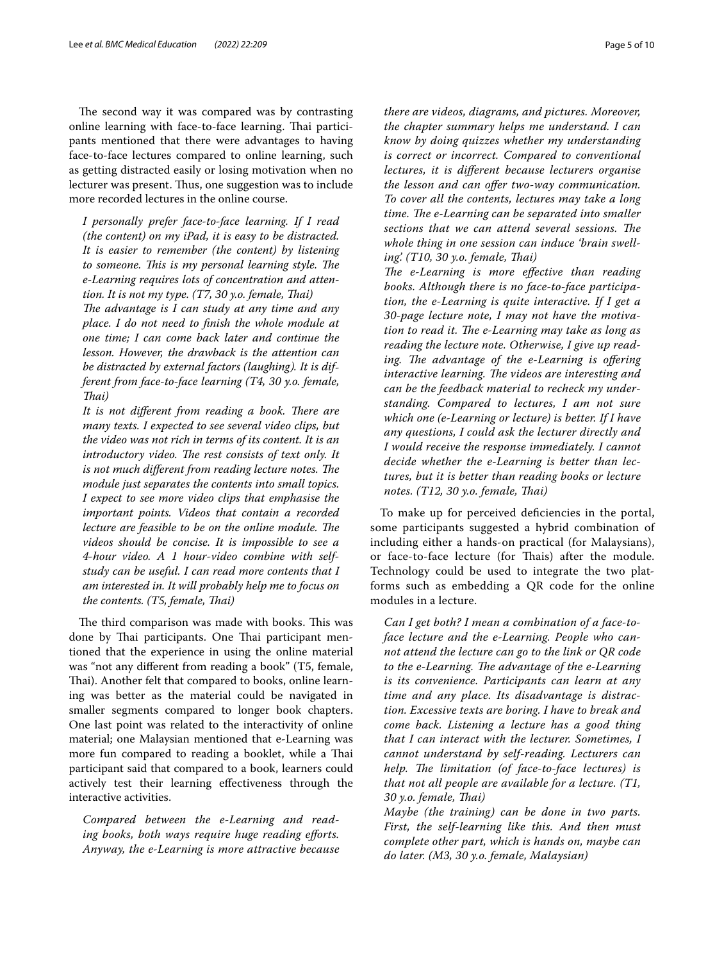The second way it was compared was by contrasting online learning with face-to-face learning. Thai participants mentioned that there were advantages to having face-to-face lectures compared to online learning, such as getting distracted easily or losing motivation when no lecturer was present. Thus, one suggestion was to include more recorded lectures in the online course.

*I personally prefer face-to-face learning. If I read (the content) on my iPad, it is easy to be distracted. It is easier to remember (the content) by listening to someone. This is my personal learning style. The e-Learning requires lots of concentration and attention. It is not my type. (T7, 30 y.o. female, Tai)*

The advantage is I can study at any time and any *place. I do not need to fnish the whole module at one time; I can come back later and continue the lesson. However, the drawback is the attention can be distracted by external factors (laughing). It is different from face-to-face learning (T4, 30 y.o. female, Tai)*

It is not different from reading a book. There are *many texts. I expected to see several video clips, but the video was not rich in terms of its content. It is an introductory video. The rest consists of text only. It is not much different from reading lecture notes. The module just separates the contents into small topics. I expect to see more video clips that emphasise the important points. Videos that contain a recorded lecture are feasible to be on the online module. The videos should be concise. It is impossible to see a 4-hour video. A 1 hour-video combine with selfstudy can be useful. I can read more contents that I am interested in. It will probably help me to focus on the contents. (T5, female, Tai)*

The third comparison was made with books. This was done by Thai participants. One Thai participant mentioned that the experience in using the online material was "not any diferent from reading a book" (T5, female, Thai). Another felt that compared to books, online learning was better as the material could be navigated in smaller segments compared to longer book chapters. One last point was related to the interactivity of online material; one Malaysian mentioned that e-Learning was more fun compared to reading a booklet, while a Thai participant said that compared to a book, learners could actively test their learning efectiveness through the interactive activities.

*Compared between the e-Learning and reading books, both ways require huge reading eforts. Anyway, the e-Learning is more attractive because*  *there are videos, diagrams, and pictures. Moreover, the chapter summary helps me understand. I can know by doing quizzes whether my understanding is correct or incorrect. Compared to conventional lectures, it is diferent because lecturers organise the lesson and can ofer two-way communication. To cover all the contents, lectures may take a long time. The e-Learning can be separated into smaller sections that we can attend several sessions. The whole thing in one session can induce 'brain swelling'. (T10, 30 y.o. female, Tai)*

The e-Learning is more effective than reading *books. Although there is no face-to-face participation, the e-Learning is quite interactive. If I get a 30-page lecture note, I may not have the motiva*tion to read it. The e-Learning may take as long as *reading the lecture note. Otherwise, I give up read*ing. The advantage of the e-Learning is offering *interactive learning. The videos are interesting and can be the feedback material to recheck my understanding. Compared to lectures, I am not sure which one (e-Learning or lecture) is better. If I have any questions, I could ask the lecturer directly and I would receive the response immediately. I cannot decide whether the e-Learning is better than lectures, but it is better than reading books or lecture notes. (T12, 30 y.o. female, Tai)*

To make up for perceived defciencies in the portal, some participants suggested a hybrid combination of including either a hands-on practical (for Malaysians), or face-to-face lecture (for Thais) after the module. Technology could be used to integrate the two platforms such as embedding a QR code for the online modules in a lecture.

*Can I get both? I mean a combination of a face-toface lecture and the e-Learning. People who cannot attend the lecture can go to the link or QR code*  to the e-Learning. The advantage of the e-Learning *is its convenience. Participants can learn at any time and any place. Its disadvantage is distraction. Excessive texts are boring. I have to break and come back. Listening a lecture has a good thing that I can interact with the lecturer. Sometimes, I cannot understand by self-reading. Lecturers can*  help. The limitation (of face-to-face lectures) is *that not all people are available for a lecture. (T1, 30 y.o. female, Tai)*

*Maybe (the training) can be done in two parts. First, the self-learning like this. And then must complete other part, which is hands on, maybe can do later. (M3, 30 y.o. female, Malaysian)*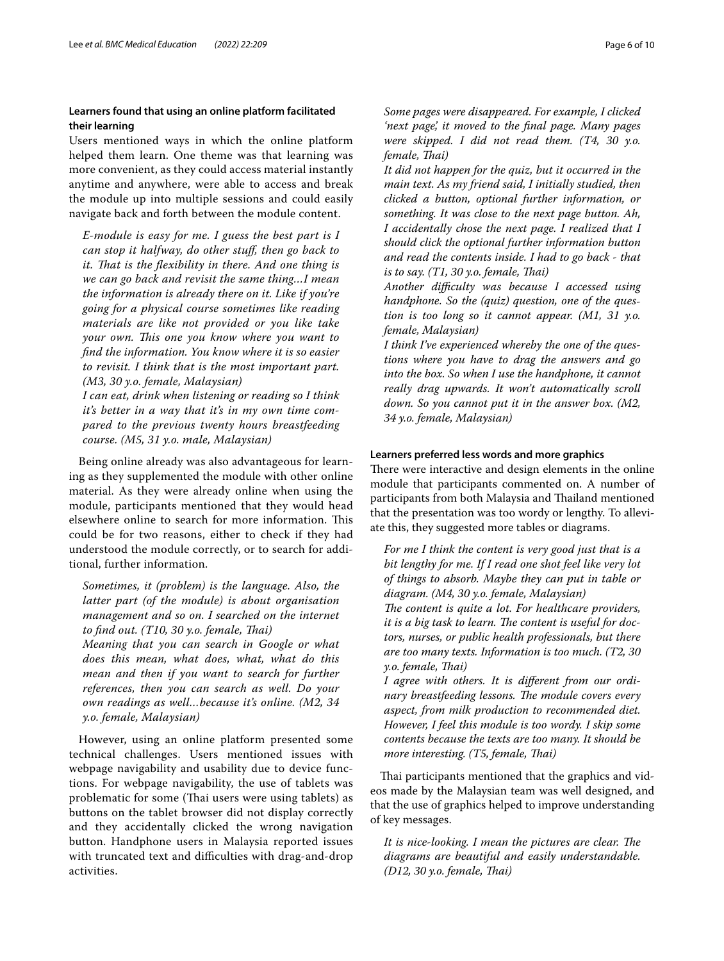# **Learners found that using an online platform facilitated their learning**

Users mentioned ways in which the online platform helped them learn. One theme was that learning was more convenient, as they could access material instantly anytime and anywhere, were able to access and break the module up into multiple sessions and could easily navigate back and forth between the module content.

*E-module is easy for me. I guess the best part is I can stop it halfway, do other stuf, then go back to it. Tat is the fexibility in there. And one thing is we can go back and revisit the same thing…I mean the information is already there on it. Like if you're going for a physical course sometimes like reading materials are like not provided or you like take your own. Tis one you know where you want to fnd the information. You know where it is so easier to revisit. I think that is the most important part. (M3, 30 y.o. female, Malaysian)*

*I can eat, drink when listening or reading so I think it's better in a way that it's in my own time compared to the previous twenty hours breastfeeding course. (M5, 31 y.o. male, Malaysian)*

Being online already was also advantageous for learning as they supplemented the module with other online material. As they were already online when using the module, participants mentioned that they would head elsewhere online to search for more information. This could be for two reasons, either to check if they had understood the module correctly, or to search for additional, further information.

*Sometimes, it (problem) is the language. Also, the latter part (of the module) is about organisation management and so on. I searched on the internet to fnd out. (T10, 30 y.o. female, Tai)*

*Meaning that you can search in Google or what does this mean, what does, what, what do this mean and then if you want to search for further references, then you can search as well. Do your own readings as well…because it's online. (M2, 34 y.o. female, Malaysian)*

However, using an online platform presented some technical challenges. Users mentioned issues with webpage navigability and usability due to device functions. For webpage navigability, the use of tablets was problematic for some (Thai users were using tablets) as buttons on the tablet browser did not display correctly and they accidentally clicked the wrong navigation button. Handphone users in Malaysia reported issues with truncated text and difficulties with drag-and-drop activities.

*Some pages were disappeared. For example, I clicked 'next page', it moved to the fnal page. Many pages were skipped. I did not read them. (T4, 30 y.o. female, Tai)*

*It did not happen for the quiz, but it occurred in the main text. As my friend said, I initially studied, then clicked a button, optional further information, or something. It was close to the next page button. Ah, I accidentally chose the next page. I realized that I should click the optional further information button and read the contents inside. I had to go back - that is to say. (T1, 30 y.o. female, Tai)*

*Another difculty was because I accessed using handphone. So the (quiz) question, one of the question is too long so it cannot appear. (M1, 31 y.o. female, Malaysian)*

*I think I've experienced whereby the one of the questions where you have to drag the answers and go into the box. So when I use the handphone, it cannot really drag upwards. It won't automatically scroll down. So you cannot put it in the answer box. (M2, 34 y.o. female, Malaysian)*

# **Learners preferred less words and more graphics**

There were interactive and design elements in the online module that participants commented on. A number of participants from both Malaysia and Thailand mentioned that the presentation was too wordy or lengthy. To alleviate this, they suggested more tables or diagrams.

*For me I think the content is very good just that is a bit lengthy for me. If I read one shot feel like very lot of things to absorb. Maybe they can put in table or diagram. (M4, 30 y.o. female, Malaysian)* The content is quite a lot. For healthcare providers, *it is a big task to learn. The content is useful for doctors, nurses, or public health professionals, but there* 

*are too many texts. Information is too much. (T2, 30 y.o. female, Tai)*

*I agree with others. It is diferent from our ordinary breastfeeding lessons. The module covers every aspect, from milk production to recommended diet. However, I feel this module is too wordy. I skip some contents because the texts are too many. It should be more interesting. (T5, female, Tai)*

Thai participants mentioned that the graphics and videos made by the Malaysian team was well designed, and that the use of graphics helped to improve understanding of key messages.

It is nice-looking. I mean the pictures are clear. The *diagrams are beautiful and easily understandable. (D12, 30 y.o. female, Tai)*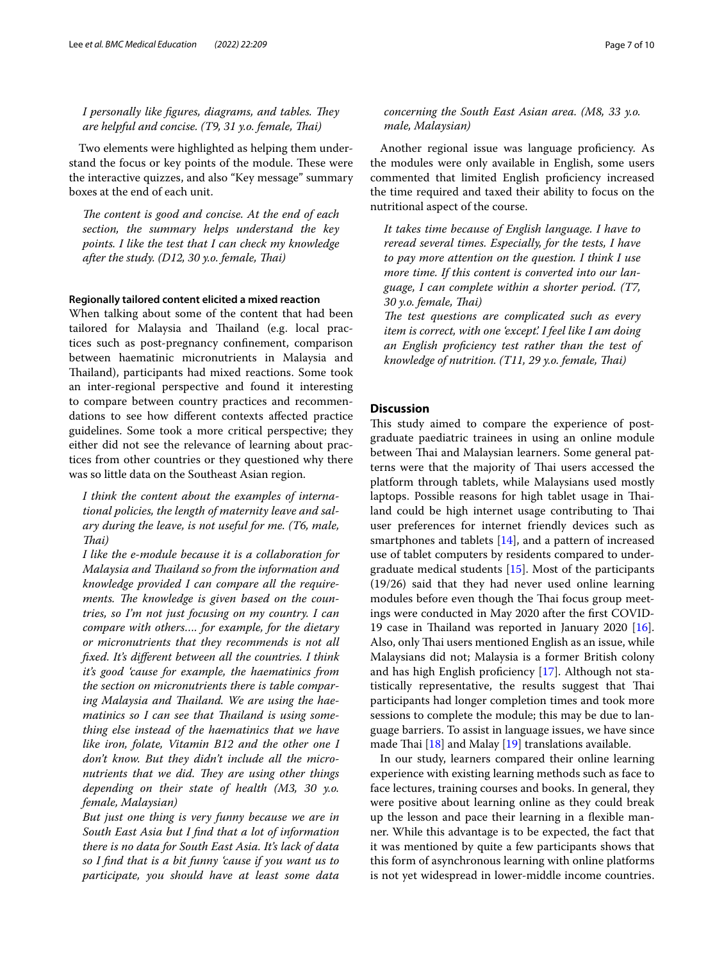*I personally like figures, diagrams, and tables. They are helpful and concise. (T9, 31 y.o. female, Tai)*

Two elements were highlighted as helping them understand the focus or key points of the module. These were the interactive quizzes, and also "Key message" summary boxes at the end of each unit.

The content is good and concise. At the end of each *section, the summary helps understand the key points. I like the test that I can check my knowledge after the study. (D12, 30 y.o. female, Tai)*

### **Regionally tailored content elicited a mixed reaction**

When talking about some of the content that had been tailored for Malaysia and Thailand (e.g. local practices such as post-pregnancy confnement, comparison between haematinic micronutrients in Malaysia and Thailand), participants had mixed reactions. Some took an inter-regional perspective and found it interesting to compare between country practices and recommendations to see how diferent contexts afected practice guidelines. Some took a more critical perspective; they either did not see the relevance of learning about practices from other countries or they questioned why there was so little data on the Southeast Asian region.

*I think the content about the examples of international policies, the length of maternity leave and salary during the leave, is not useful for me. (T6, male, Tai)*

*I like the e-module because it is a collaboration for Malaysia and Tailand so from the information and knowledge provided I can compare all the require*ments. The knowledge is given based on the coun*tries, so I'm not just focusing on my country. I can compare with others…. for example, for the dietary or micronutrients that they recommends is not all fxed. It's diferent between all the countries. I think it's good 'cause for example, the haematinics from the section on micronutrients there is table compar*ing Malaysia and Thailand. We are using the haematinics so I can see that Thailand is using some*thing else instead of the haematinics that we have like iron, folate, Vitamin B12 and the other one I don't know. But they didn't include all the micronutrients that we did. They are using other things depending on their state of health (M3, 30 y.o. female, Malaysian)*

*But just one thing is very funny because we are in South East Asia but I fnd that a lot of information there is no data for South East Asia. It's lack of data so I fnd that is a bit funny 'cause if you want us to participate, you should have at least some data*  *concerning the South East Asian area. (M8, 33 y.o. male, Malaysian)*

Another regional issue was language proficiency. As the modules were only available in English, some users commented that limited English proficiency increased the time required and taxed their ability to focus on the nutritional aspect of the course.

*It takes time because of English language. I have to reread several times. Especially, for the tests, I have to pay more attention on the question. I think I use more time. If this content is converted into our language, I can complete within a shorter period. (T7, 30 y.o. female, Tai)*

The test questions are complicated such as every *item is correct, with one 'except'. I feel like I am doing an English profciency test rather than the test of knowledge of nutrition. (T11, 29 y.o. female, Tai)*

# **Discussion**

This study aimed to compare the experience of postgraduate paediatric trainees in using an online module between Thai and Malaysian learners. Some general patterns were that the majority of Thai users accessed the platform through tablets, while Malaysians used mostly laptops. Possible reasons for high tablet usage in Thailand could be high internet usage contributing to Thai user preferences for internet friendly devices such as smartphones and tablets [\[14\]](#page-8-12), and a pattern of increased use of tablet computers by residents compared to undergraduate medical students  $[15]$  $[15]$  $[15]$ . Most of the participants (19/26) said that they had never used online learning modules before even though the Thai focus group meetings were conducted in May 2020 after the frst COVID-19 case in Thailand was reported in January 2020 [\[16](#page-8-14)]. Also, only Thai users mentioned English as an issue, while Malaysians did not; Malaysia is a former British colony and has high English proficiency  $[17]$  $[17]$ . Although not statistically representative, the results suggest that Thai participants had longer completion times and took more sessions to complete the module; this may be due to language barriers. To assist in language issues, we have since made Thai  $[18]$  $[18]$  and Malay  $[19]$  $[19]$  translations available.

In our study, learners compared their online learning experience with existing learning methods such as face to face lectures, training courses and books. In general, they were positive about learning online as they could break up the lesson and pace their learning in a fexible manner. While this advantage is to be expected, the fact that it was mentioned by quite a few participants shows that this form of asynchronous learning with online platforms is not yet widespread in lower-middle income countries.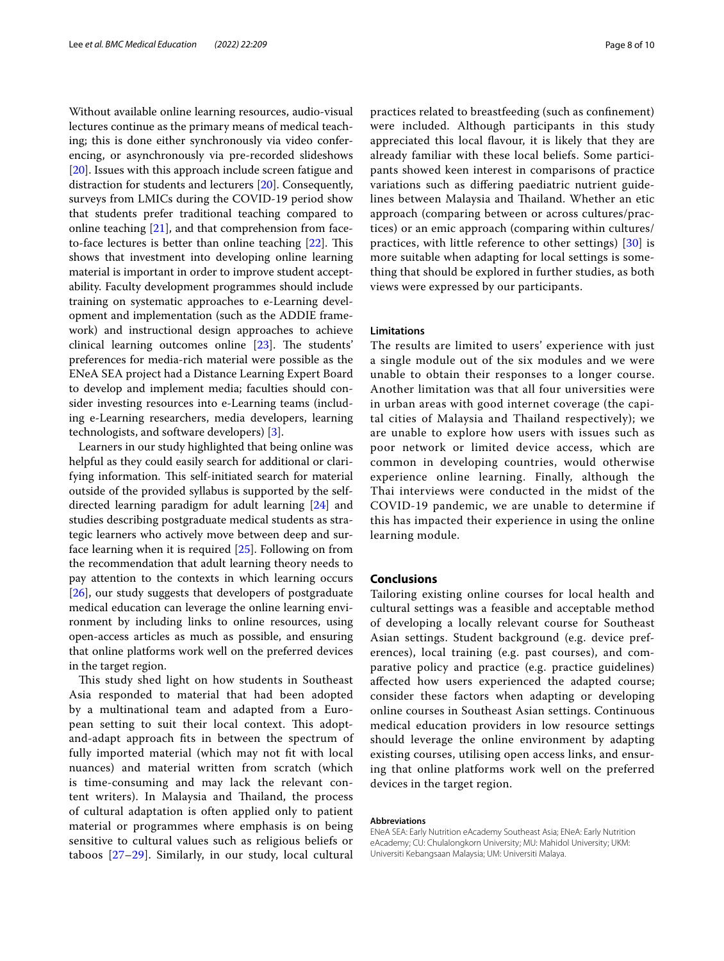Without available online learning resources, audio-visual lectures continue as the primary means of medical teaching; this is done either synchronously via video conferencing, or asynchronously via pre-recorded slideshows [[20\]](#page-8-18). Issues with this approach include screen fatigue and distraction for students and lecturers [[20](#page-8-18)]. Consequently, surveys from LMICs during the COVID-19 period show that students prefer traditional teaching compared to online teaching [\[21\]](#page-8-19), and that comprehension from faceto-face lectures is better than online teaching  $[22]$  $[22]$ . This shows that investment into developing online learning material is important in order to improve student acceptability. Faculty development programmes should include training on systematic approaches to e-Learning development and implementation (such as the ADDIE framework) and instructional design approaches to achieve clinical learning outcomes online  $[23]$  $[23]$  $[23]$ . The students' preferences for media-rich material were possible as the ENeA SEA project had a Distance Learning Expert Board to develop and implement media; faculties should consider investing resources into e-Learning teams (including e-Learning researchers, media developers, learning technologists, and software developers) [\[3](#page-8-2)].

Learners in our study highlighted that being online was helpful as they could easily search for additional or clarifying information. This self-initiated search for material outside of the provided syllabus is supported by the selfdirected learning paradigm for adult learning [\[24\]](#page-9-0) and studies describing postgraduate medical students as strategic learners who actively move between deep and surface learning when it is required [\[25\]](#page-9-1). Following on from the recommendation that adult learning theory needs to pay attention to the contexts in which learning occurs [[26\]](#page-9-2), our study suggests that developers of postgraduate medical education can leverage the online learning environment by including links to online resources, using open-access articles as much as possible, and ensuring that online platforms work well on the preferred devices in the target region.

This study shed light on how students in Southeast Asia responded to material that had been adopted by a multinational team and adapted from a European setting to suit their local context. This adoptand-adapt approach fts in between the spectrum of fully imported material (which may not ft with local nuances) and material written from scratch (which is time-consuming and may lack the relevant content writers). In Malaysia and Thailand, the process of cultural adaptation is often applied only to patient material or programmes where emphasis is on being sensitive to cultural values such as religious beliefs or taboos [[27–](#page-9-3)[29\]](#page-9-4). Similarly, in our study, local cultural practices related to breastfeeding (such as confnement) were included. Although participants in this study appreciated this local favour, it is likely that they are already familiar with these local beliefs. Some participants showed keen interest in comparisons of practice variations such as difering paediatric nutrient guidelines between Malaysia and Thailand. Whether an etic approach (comparing between or across cultures/practices) or an emic approach (comparing within cultures/ practices, with little reference to other settings) [\[30](#page-9-5)] is more suitable when adapting for local settings is something that should be explored in further studies, as both views were expressed by our participants.

# **Limitations**

The results are limited to users' experience with just a single module out of the six modules and we were unable to obtain their responses to a longer course. Another limitation was that all four universities were in urban areas with good internet coverage (the capital cities of Malaysia and Thailand respectively); we are unable to explore how users with issues such as poor network or limited device access, which are common in developing countries, would otherwise experience online learning. Finally, although the Thai interviews were conducted in the midst of the COVID-19 pandemic, we are unable to determine if this has impacted their experience in using the online learning module.

# **Conclusions**

Tailoring existing online courses for local health and cultural settings was a feasible and acceptable method of developing a locally relevant course for Southeast Asian settings. Student background (e.g. device preferences), local training (e.g. past courses), and comparative policy and practice (e.g. practice guidelines) afected how users experienced the adapted course; consider these factors when adapting or developing online courses in Southeast Asian settings. Continuous medical education providers in low resource settings should leverage the online environment by adapting existing courses, utilising open access links, and ensuring that online platforms work well on the preferred devices in the target region.

#### **Abbreviations**

ENeA SEA: Early Nutrition eAcademy Southeast Asia; ENeA: Early Nutrition eAcademy; CU: Chulalongkorn University; MU: Mahidol University; UKM: Universiti Kebangsaan Malaysia; UM: Universiti Malaya.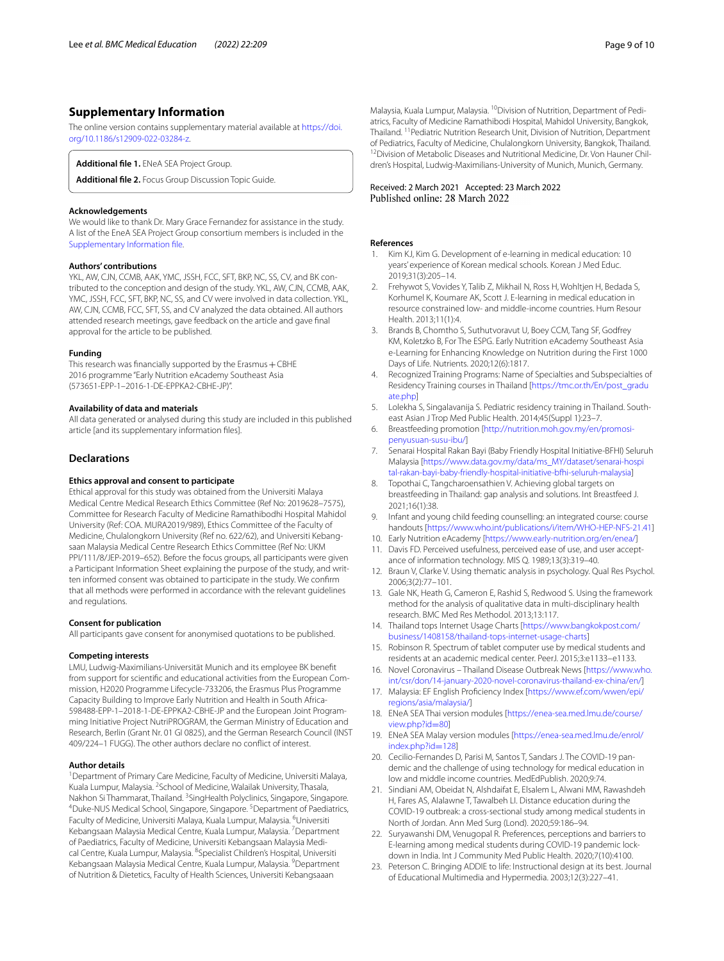# **Supplementary Information**

The online version contains supplementary material available at [https://doi.](https://doi.org/10.1186/s12909-022-03284-z) [org/10.1186/s12909-022-03284-z.](https://doi.org/10.1186/s12909-022-03284-z)

<span id="page-8-22"></span>**Additional fle 1.** ENeA SEA Project Group.

**Additional fle 2.** Focus Group Discussion Topic Guide.

#### **Acknowledgements**

We would like to thank Dr. Mary Grace Fernandez for assistance in the study. A list of the EneA SEA Project Group consortium members is included in the [Supplementary Information fle](#page-8-22).

#### **Authors' contributions**

YKL, AW, CJN, CCMB, AAK, YMC, JSSH, FCC, SFT, BKP, NC, SS, CV, and BK contributed to the conception and design of the study. YKL, AW, CJN, CCMB, AAK, YMC, JSSH, FCC, SFT, BKP, NC, SS, and CV were involved in data collection. YKL, AW, CJN, CCMB, FCC, SFT, SS, and CV analyzed the data obtained. All authors attended research meetings, gave feedback on the article and gave fnal approval for the article to be published.

#### **Funding**

This research was financially supported by the Erasmus  $+$  CBHE 2016 programme "Early Nutrition eAcademy Southeast Asia (573651-EPP-1–2016-1-DE-EPPKA2-CBHE-JP)".

#### **Availability of data and materials**

All data generated or analysed during this study are included in this published article [and its supplementary information fles].

#### **Declarations**

#### **Ethics approval and consent to participate**

Ethical approval for this study was obtained from the Universiti Malaya Medical Centre Medical Research Ethics Committee (Ref No: 2019628–7575), Committee for Research Faculty of Medicine Ramathibodhi Hospital Mahidol University (Ref: COA. MURA2019/989), Ethics Committee of the Faculty of Medicine, Chulalongkorn University (Ref no. 622/62), and Universiti Kebangsaan Malaysia Medical Centre Research Ethics Committee (Ref No: UKM PPI/111/8/JEP-2019–652). Before the focus groups, all participants were given a Participant Information Sheet explaining the purpose of the study, and written informed consent was obtained to participate in the study. We confrm that all methods were performed in accordance with the relevant guidelines and regulations.

#### **Consent for publication**

All participants gave consent for anonymised quotations to be published.

#### **Competing interests**

LMU, Ludwig-Maximilians-Universität Munich and its employee BK beneft from support for scientifc and educational activities from the European Commission, H2020 Programme Lifecycle-733206, the Erasmus Plus Programme Capacity Building to Improve Early Nutrition and Health in South Africa-598488-EPP-1–2018-1-DE-EPPKA2-CBHE-JP and the European Joint Programming Initiative Project NutriPROGRAM, the German Ministry of Education and Research, Berlin (Grant Nr. 01 GI 0825), and the German Research Council (INST 409/224–1 FUGG). The other authors declare no confict of interest.

#### **Author details**

<sup>1</sup> Department of Primary Care Medicine, Faculty of Medicine, Universiti Malaya, Kuala Lumpur, Malaysia. <sup>2</sup> School of Medicine, Walailak University, Thasala, Nakhon Si Thammarat, Thailand. <sup>3</sup>SingHealth Polyclinics, Singapore, Singapore.<br><sup>4</sup>Duke NUS Medical School, Singapore, Singapore, <sup>5</sup>Department of Paodiatrics. Duke-NUS Medical School, Singapore, Singapore.<sup>5</sup> Department of Paediatrics, Faculty of Medicine, Universiti Malaya, Kuala Lumpur, Malaysia. <sup>6</sup>Universiti Kebangsaan Malaysia Medical Centre, Kuala Lumpur, Malaysia. <sup>7</sup> Department of Paediatrics, Faculty of Medicine, Universiti Kebangsaan Malaysia Medical Centre, Kuala Lumpur, Malaysia. <sup>8</sup>Specialist Children's Hospital, Universiti Kebangsaan Malaysia Medical Centre, Kuala Lumpur, Malaysia. <sup>9</sup>Department of Nutrition & Dietetics, Faculty of Health Sciences, Universiti Kebangsaaan

# Received: 2 March 2021 Accepted: 23 March 2022

### **References**

- <span id="page-8-0"></span>1. Kim KJ, Kim G. Development of e-learning in medical education: 10 years' experience of Korean medical schools. Korean J Med Educ. 2019;31(3):205–14.
- <span id="page-8-1"></span>2. Frehywot S, Vovides Y, Talib Z, Mikhail N, Ross H, Wohltjen H, Bedada S, Korhumel K, Koumare AK, Scott J. E-learning in medical education in resource constrained low- and middle-income countries. Hum Resour Health. 2013;11(1):4.
- <span id="page-8-2"></span>3. Brands B, Chomtho S, Suthutvoravut U, Boey CCM, Tang SF, Godfrey KM, Koletzko B, For The ESPG. Early Nutrition eAcademy Southeast Asia e-Learning for Enhancing Knowledge on Nutrition during the First 1000 Days of Life. Nutrients. 2020;12(6):1817.
- <span id="page-8-3"></span>4. Recognized Training Programs: Name of Specialties and Subspecialties of Residency Training courses in Thailand [[https://tmc.or.th/En/post\\_gradu](https://tmc.or.th/En/post_graduate.php) [ate.php\]](https://tmc.or.th/En/post_graduate.php)
- <span id="page-8-4"></span>5. Lolekha S, Singalavanija S. Pediatric residency training in Thailand. Southeast Asian J Trop Med Public Health. 2014;45(Suppl 1):23–7.
- <span id="page-8-5"></span>6. Breastfeeding promotion [\[http://nutrition.moh.gov.my/en/promosi](http://nutrition.moh.gov.my/en/promosi-penyusuan-susu-ibu/)[penyusuan-susu-ibu/](http://nutrition.moh.gov.my/en/promosi-penyusuan-susu-ibu/)]
- <span id="page-8-6"></span>7. Senarai Hospital Rakan Bayi (Baby Friendly Hospital Initiative-BFHI) Seluruh Malaysia [\[https://www.data.gov.my/data/ms\\_MY/dataset/senarai-hospi](https://www.data.gov.my/data/ms_MY/dataset/senarai-hospital-rakan-bayi-baby-friendly-hospital-initiative-bfhi-seluruh-malaysia) [tal-rakan-bayi-baby-friendly-hospital-initiative-bfhi-seluruh-malaysia](https://www.data.gov.my/data/ms_MY/dataset/senarai-hospital-rakan-bayi-baby-friendly-hospital-initiative-bfhi-seluruh-malaysia)]
- 8. Topothai C, Tangcharoensathien V. Achieving global targets on breastfeeding in Thailand: gap analysis and solutions. Int Breastfeed J. 2021;16(1):38.
- <span id="page-8-7"></span>9. Infant and young child feeding counselling: an integrated course: course handouts [<https://www.who.int/publications/i/item/WHO-HEP-NFS-21.41>]
- <span id="page-8-9"></span><span id="page-8-8"></span>10. Early Nutrition eAcademy [\[https://www.early-nutrition.org/en/enea/](https://www.early-nutrition.org/en/enea/)] 11. Davis FD. Perceived usefulness, perceived ease of use, and user accept-
- ance of information technology. MIS Q. 1989;13(3):319–40.
- <span id="page-8-10"></span>12. Braun V, Clarke V. Using thematic analysis in psychology. Qual Res Psychol. 2006;3(2):77–101.
- <span id="page-8-11"></span>13. Gale NK, Heath G, Cameron E, Rashid S, Redwood S. Using the framework method for the analysis of qualitative data in multi-disciplinary health research. BMC Med Res Methodol. 2013;13:117.
- <span id="page-8-12"></span>14. Thailand tops Internet Usage Charts [\[https://www.bangkokpost.com/](https://www.bangkokpost.com/business/1408158/thailand-tops-internet-usage-charts) [business/1408158/thailand-tops-internet-usage-charts](https://www.bangkokpost.com/business/1408158/thailand-tops-internet-usage-charts)]
- <span id="page-8-13"></span>15. Robinson R. Spectrum of tablet computer use by medical students and residents at an academic medical center. PeerJ. 2015;3:e1133–e1133.
- <span id="page-8-14"></span>16. Novel Coronavirus – Thailand Disease Outbreak News [\[https://www.who.](https://www.who.int/csr/don/14-january-2020-novel-coronavirus-thailand-ex-china/en/) [int/csr/don/14-january-2020-novel-coronavirus-thailand-ex-china/en/\]](https://www.who.int/csr/don/14-january-2020-novel-coronavirus-thailand-ex-china/en/)
- <span id="page-8-15"></span>17. Malaysia: EF English Profciency Index [\[https://www.ef.com/wwen/epi/](https://www.ef.com/wwen/epi/regions/asia/malaysia/) [regions/asia/malaysia/\]](https://www.ef.com/wwen/epi/regions/asia/malaysia/)
- <span id="page-8-16"></span>18. ENeA SEA Thai version modules [[https://enea-sea.med.lmu.de/course/](https://enea-sea.med.lmu.de/course/view.php?id=80) [view.php?id](https://enea-sea.med.lmu.de/course/view.php?id=80)=80]
- <span id="page-8-17"></span>19. ENeA SEA Malay version modules [[https://enea-sea.med.lmu.de/enrol/](https://enea-sea.med.lmu.de/enrol/index.php?id=128) [index.php?id](https://enea-sea.med.lmu.de/enrol/index.php?id=128)=128]
- <span id="page-8-18"></span>20. Cecilio-Fernandes D, Parisi M, Santos T, Sandars J. The COVID-19 pandemic and the challenge of using technology for medical education in low and middle income countries. MedEdPublish. 2020;9:74.
- <span id="page-8-19"></span>21. Sindiani AM, Obeidat N, Alshdaifat E, Elsalem L, Alwani MM, Rawashdeh H, Fares AS, Alalawne T, Tawalbeh LI. Distance education during the COVID-19 outbreak: a cross-sectional study among medical students in North of Jordan. Ann Med Surg (Lond). 2020;59:186–94.
- <span id="page-8-20"></span>22. Suryawanshi DM, Venugopal R. Preferences, perceptions and barriers to E-learning among medical students during COVID-19 pandemic lockdown in India. Int J Community Med Public Health. 2020;7(10):4100.
- <span id="page-8-21"></span>23. Peterson C. Bringing ADDIE to life: Instructional design at its best. Journal of Educational Multimedia and Hypermedia. 2003;12(3):227–41.